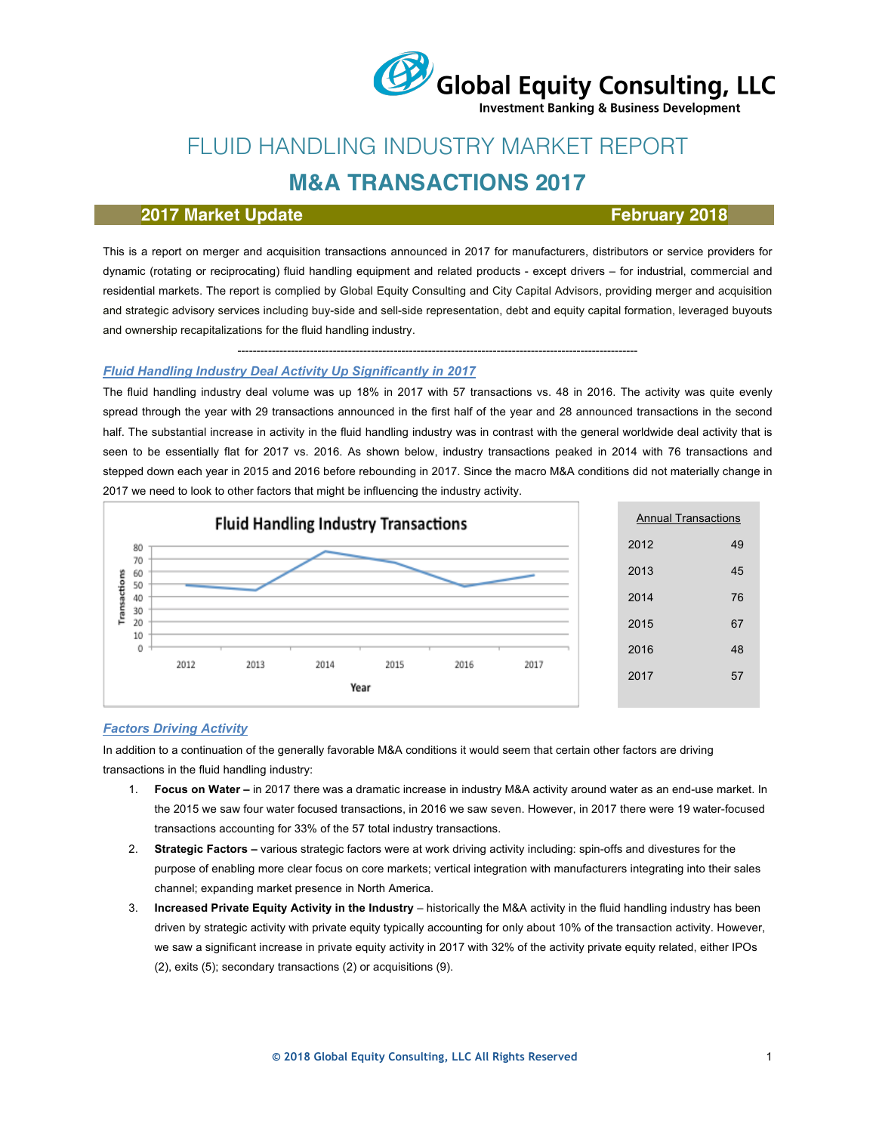# Global Equity Consulting, LLC

**Investment Banking & Business Development** 

## FLUID HANDLING INDUSTRY MARKET REPORT

## **M&A TRANSACTIONS 2017**

#### **2017 Market Update February 2018**

This is a report on merger and acquisition transactions announced in 2017 for manufacturers, distributors or service providers for dynamic (rotating or reciprocating) fluid handling equipment and related products - except drivers – for industrial, commercial and residential markets. The report is complied by Global Equity Consulting and City Capital Advisors, providing merger and acquisition and strategic advisory services including buy-side and sell-side representation, debt and equity capital formation, leveraged buyouts and ownership recapitalizations for the fluid handling industry.

#### --------------------------------------------------------------------------------------------------------- *Fluid Handling Industry Deal Activity Up Significantly in 2017*

The fluid handling industry deal volume was up 18% in 2017 with 57 transactions vs. 48 in 2016. The activity was quite evenly spread through the year with 29 transactions announced in the first half of the year and 28 announced transactions in the second half. The substantial increase in activity in the fluid handling industry was in contrast with the general worldwide deal activity that is seen to be essentially flat for 2017 vs. 2016. As shown below, industry transactions peaked in 2014 with 76 transactions and stepped down each year in 2015 and 2016 before rebounding in 2017. Since the macro M&A conditions did not materially change in 2017 we need to look to other factors that might be influencing the industry activity.



#### *Factors Driving Activity*

In addition to a continuation of the generally favorable M&A conditions it would seem that certain other factors are driving transactions in the fluid handling industry:

- 1. **Focus on Water –** in 2017 there was a dramatic increase in industry M&A activity around water as an end-use market. In the 2015 we saw four water focused transactions, in 2016 we saw seven. However, in 2017 there were 19 water-focused transactions accounting for 33% of the 57 total industry transactions.
- 2. **Strategic Factors –** various strategic factors were at work driving activity including: spin-offs and divestures for the purpose of enabling more clear focus on core markets; vertical integration with manufacturers integrating into their sales channel; expanding market presence in North America.
- 3. **Increased Private Equity Activity in the Industry** historically the M&A activity in the fluid handling industry has been driven by strategic activity with private equity typically accounting for only about 10% of the transaction activity. However, we saw a significant increase in private equity activity in 2017 with 32% of the activity private equity related, either IPOs (2), exits (5); secondary transactions (2) or acquisitions (9).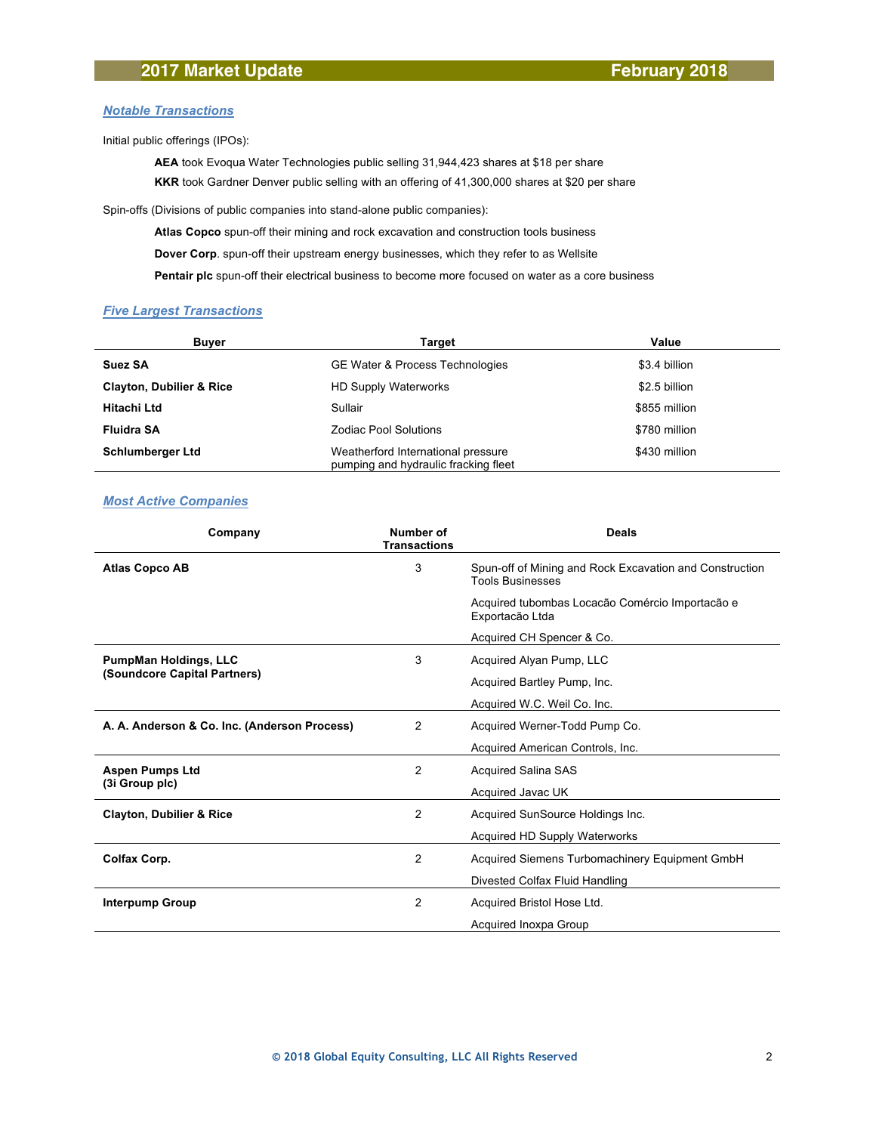#### *Notable Transactions*

Initial public offerings (IPOs):

**AEA** took Evoqua Water Technologies public selling 31,944,423 shares at \$18 per share **KKR** took Gardner Denver public selling with an offering of 41,300,000 shares at \$20 per share

Spin-offs (Divisions of public companies into stand-alone public companies):

**Atlas Copco** spun-off their mining and rock excavation and construction tools business

**Dover Corp**. spun-off their upstream energy businesses, which they refer to as Wellsite

**Pentair plc** spun-off their electrical business to become more focused on water as a core business

#### *Five Largest Transactions*

| <b>Buyer</b>                        | Target                                                                     | Value         |  |
|-------------------------------------|----------------------------------------------------------------------------|---------------|--|
| <b>Suez SA</b>                      | <b>GE Water &amp; Process Technologies</b>                                 | \$3.4 billion |  |
| <b>Clayton, Dubilier &amp; Rice</b> | <b>HD Supply Waterworks</b>                                                | \$2.5 billion |  |
| <b>Hitachi Ltd</b>                  | Sullair                                                                    | \$855 million |  |
| <b>Fluidra SA</b>                   | <b>Zodiac Pool Solutions</b>                                               | \$780 million |  |
| <b>Schlumberger Ltd</b>             | Weatherford International pressure<br>pumping and hydraulic fracking fleet | \$430 million |  |

#### *Most Active Companies*

| Company                                      | Number of<br><b>Transactions</b> | <b>Deals</b>                                                                       |
|----------------------------------------------|----------------------------------|------------------------------------------------------------------------------------|
| <b>Atlas Copco AB</b>                        | 3                                | Spun-off of Mining and Rock Excavation and Construction<br><b>Tools Businesses</b> |
|                                              |                                  | Acquired tubombas Locação Comércio Importação e<br>Exportação Ltda                 |
|                                              |                                  | Acquired CH Spencer & Co.                                                          |
| <b>PumpMan Holdings, LLC</b>                 | 3                                | Acquired Alyan Pump, LLC                                                           |
| (Soundcore Capital Partners)                 |                                  | Acquired Bartley Pump, Inc.                                                        |
|                                              |                                  | Acquired W.C. Weil Co. Inc.                                                        |
| A. A. Anderson & Co. Inc. (Anderson Process) | 2                                | Acquired Werner-Todd Pump Co.                                                      |
|                                              |                                  | Acquired American Controls, Inc.                                                   |
| <b>Aspen Pumps Ltd</b>                       | 2                                | <b>Acquired Salina SAS</b>                                                         |
| (3i Group plc)                               |                                  | Acquired Javac UK                                                                  |
| <b>Clayton, Dubilier &amp; Rice</b>          | 2                                | Acquired SunSource Holdings Inc.                                                   |
|                                              |                                  | Acquired HD Supply Waterworks                                                      |
| <b>Colfax Corp.</b>                          | 2                                | Acquired Siemens Turbomachinery Equipment GmbH                                     |
|                                              |                                  | Divested Colfax Fluid Handling                                                     |
| <b>Interpump Group</b>                       | 2                                | Acquired Bristol Hose Ltd.                                                         |
|                                              |                                  | Acquired Inoxpa Group                                                              |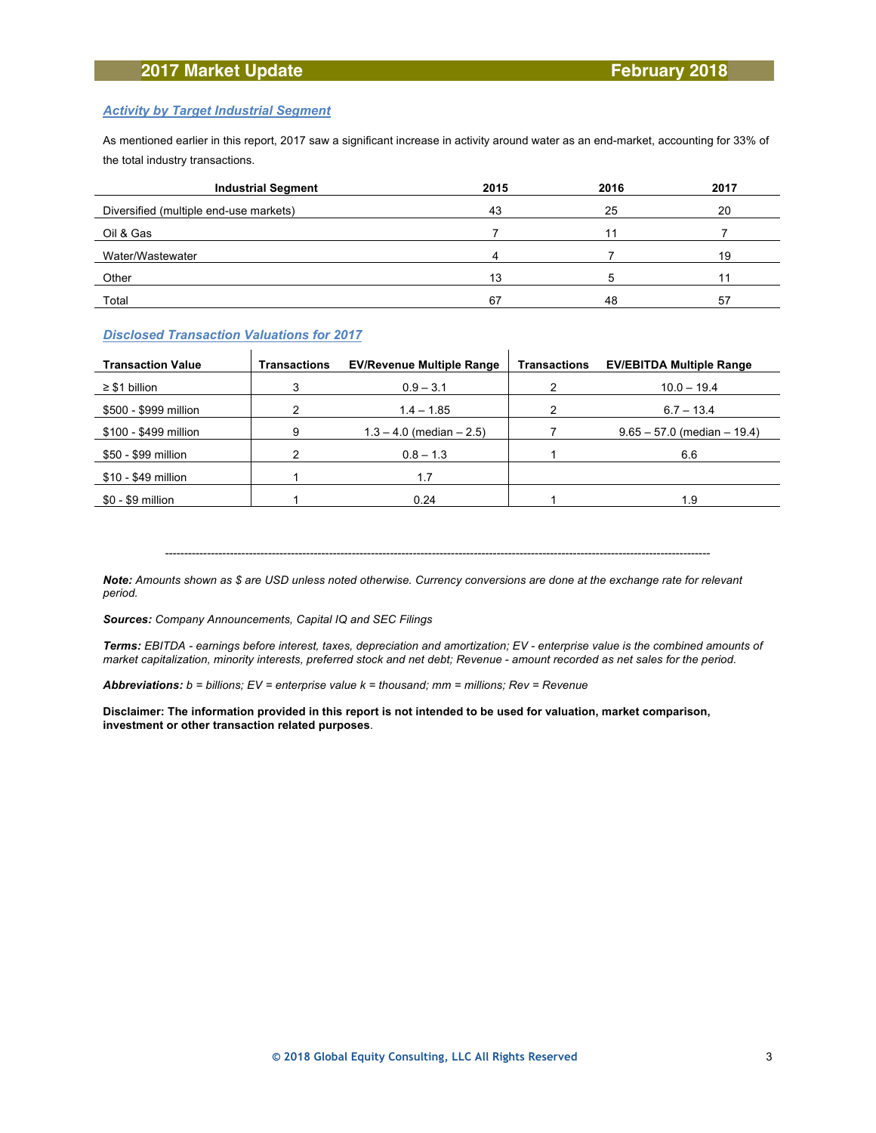### **2017 Market Update February 2018**

#### *Activity by Target Industrial Segment*

As mentioned earlier in this report, 2017 saw a significant increase in activity around water as an end-market, accounting for 33% of the total industry transactions.

| <b>Industrial Segment</b>              | 2015 | 2016 | 2017 |
|----------------------------------------|------|------|------|
| Diversified (multiple end-use markets) | 43   | 25   | 20   |
| Oil & Gas                              |      | 11   |      |
| Water/Wastewater                       |      |      | 19   |
| Other                                  | 13   |      |      |
| Total                                  | 67   | 48   | 57   |

#### *Disclosed Transaction Valuations for 2017*

| <b>Transaction Value</b> | <b>Transactions</b> | <b>EV/Revenue Multiple Range</b> | <b>Transactions</b> | <b>EV/EBITDA Multiple Range</b> |
|--------------------------|---------------------|----------------------------------|---------------------|---------------------------------|
| $\geq$ \$1 billion       |                     | $0.9 - 3.1$                      |                     | $10.0 - 19.4$                   |
| \$500 - \$999 million    |                     | $1.4 - 1.85$                     |                     | $6.7 - 13.4$                    |
| \$100 - \$499 million    | 9                   | $1.3 - 4.0$ (median $- 2.5$ )    |                     | $9.65 - 57.0$ (median $-19.4$ ) |
| \$50 - \$99 million      |                     | $0.8 - 1.3$                      |                     | 6.6                             |
| \$10 - \$49 million      |                     | 1.7                              |                     |                                 |
| \$0 - \$9 million        |                     | 0.24                             |                     | 1.9                             |

-----------------------------------------------------------------------------------------------------------------------------------------------

*Note: Amounts shown as \$ are USD unless noted otherwise. Currency conversions are done at the exchange rate for relevant period.*

*Sources: Company Announcements, Capital IQ and SEC Filings*

*Terms: EBITDA - earnings before interest, taxes, depreciation and amortization; EV - enterprise value is the combined amounts of market capitalization, minority interests, preferred stock and net debt; Revenue - amount recorded as net sales for the period.*

*Abbreviations: b = billions; EV = enterprise value k = thousand; mm = millions; Rev = Revenue*

**Disclaimer: The information provided in this report is not intended to be used for valuation, market comparison, investment or other transaction related purposes**.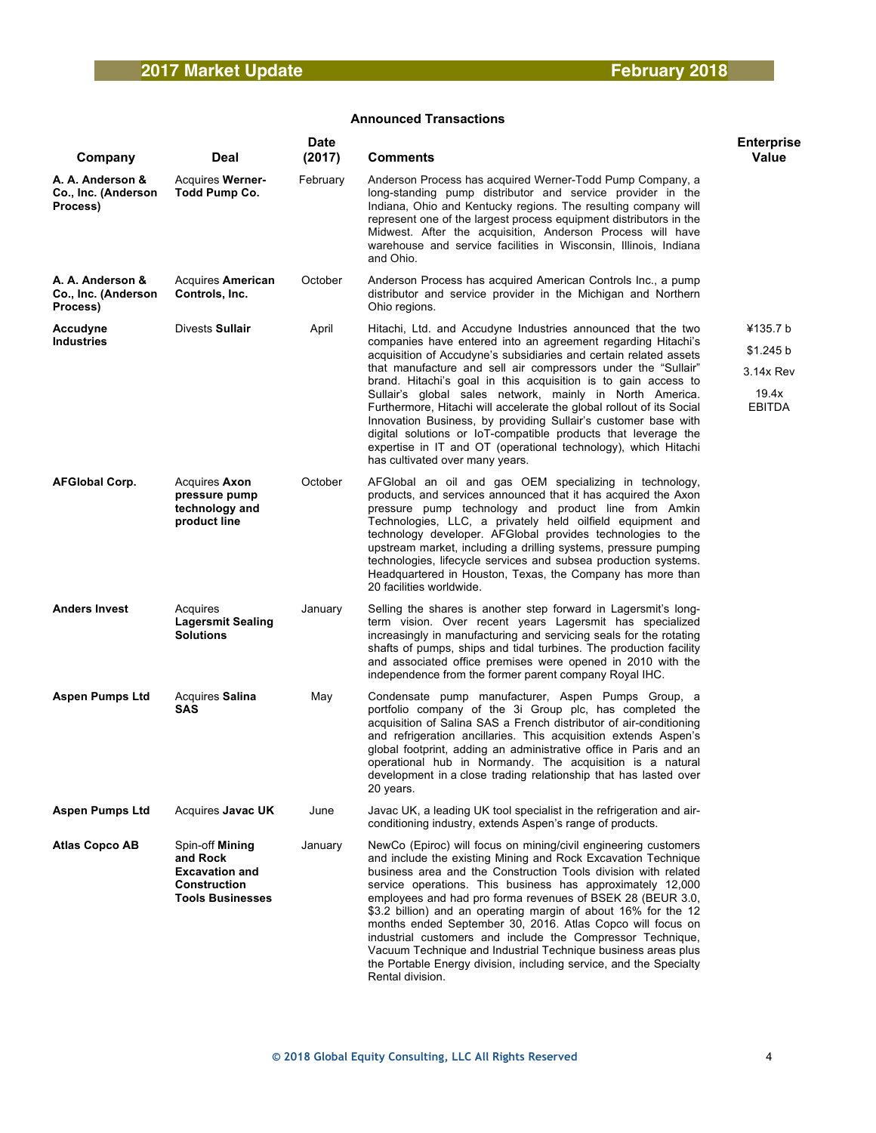| Company                                             | Deal                                                                                            | <b>Date</b><br>(2017) | <b>Comments</b>                                                                                                                                                                                                                                                                                                                                                                                                                                                                                                                                                                                                                                                                                                    | <b>Enterprise</b><br>Value                                   |
|-----------------------------------------------------|-------------------------------------------------------------------------------------------------|-----------------------|--------------------------------------------------------------------------------------------------------------------------------------------------------------------------------------------------------------------------------------------------------------------------------------------------------------------------------------------------------------------------------------------------------------------------------------------------------------------------------------------------------------------------------------------------------------------------------------------------------------------------------------------------------------------------------------------------------------------|--------------------------------------------------------------|
| A. A. Anderson &<br>Co., Inc. (Anderson<br>Process) | <b>Acquires Werner-</b><br>Todd Pump Co.                                                        | February              | Anderson Process has acquired Werner-Todd Pump Company, a<br>long-standing pump distributor and service provider in the<br>Indiana, Ohio and Kentucky regions. The resulting company will<br>represent one of the largest process equipment distributors in the<br>Midwest. After the acquisition, Anderson Process will have<br>warehouse and service facilities in Wisconsin, Illinois, Indiana<br>and Ohio.                                                                                                                                                                                                                                                                                                     |                                                              |
| A. A. Anderson &<br>Co., Inc. (Anderson<br>Process) | Acquires American<br>Controls, Inc.                                                             | October               | Anderson Process has acquired American Controls Inc., a pump<br>distributor and service provider in the Michigan and Northern<br>Ohio regions.                                                                                                                                                                                                                                                                                                                                                                                                                                                                                                                                                                     |                                                              |
| Accudyne<br><b>Industries</b>                       | Divests Sullair                                                                                 | April                 | Hitachi, Ltd. and Accudyne Industries announced that the two<br>companies have entered into an agreement regarding Hitachi's<br>acquisition of Accudyne's subsidiaries and certain related assets<br>that manufacture and sell air compressors under the "Sullair"<br>brand. Hitachi's goal in this acquisition is to gain access to<br>Sullair's global sales network, mainly in North America.<br>Furthermore, Hitachi will accelerate the global rollout of its Social<br>Innovation Business, by providing Sullair's customer base with<br>digital solutions or IoT-compatible products that leverage the<br>expertise in IT and OT (operational technology), which Hitachi<br>has cultivated over many years. | ¥135.7 b<br>\$1.245 b<br>3.14x Rev<br>19.4x<br><b>EBITDA</b> |
| <b>AFGIobal Corp.</b>                               | Acquires Axon<br>pressure pump<br>technology and<br>product line                                | October               | AFGlobal an oil and gas OEM specializing in technology,<br>products, and services announced that it has acquired the Axon<br>pressure pump technology and product line from Amkin<br>Technologies, LLC, a privately held oilfield equipment and<br>technology developer. AFGlobal provides technologies to the<br>upstream market, including a drilling systems, pressure pumping<br>technologies, lifecycle services and subsea production systems.<br>Headquartered in Houston, Texas, the Company has more than<br>20 facilities worldwide.                                                                                                                                                                     |                                                              |
| <b>Anders Invest</b>                                | Acquires<br><b>Lagersmit Sealing</b><br><b>Solutions</b>                                        | January               | Selling the shares is another step forward in Lagersmit's long-<br>term vision. Over recent years Lagersmit has specialized<br>increasingly in manufacturing and servicing seals for the rotating<br>shafts of pumps, ships and tidal turbines. The production facility<br>and associated office premises were opened in 2010 with the<br>independence from the former parent company Royal IHC.                                                                                                                                                                                                                                                                                                                   |                                                              |
| <b>Aspen Pumps Ltd</b>                              | Acquires Salina<br>SAS                                                                          | May                   | Condensate pump manufacturer, Aspen Pumps Group, a<br>portfolio company of the 3i Group plc, has completed the<br>acquisition of Salina SAS a French distributor of air-conditioning<br>and refrigeration ancillaries. This acquisition extends Aspen's<br>global footprint, adding an administrative office in Paris and an<br>operational hub in Normandy. The acquisition is a natural<br>development in a close trading relationship that has lasted over<br>20 years.                                                                                                                                                                                                                                         |                                                              |
| <b>Aspen Pumps Ltd</b>                              | Acquires Javac UK                                                                               | June                  | Javac UK, a leading UK tool specialist in the refrigeration and air-<br>conditioning industry, extends Aspen's range of products.                                                                                                                                                                                                                                                                                                                                                                                                                                                                                                                                                                                  |                                                              |
| <b>Atlas Copco AB</b>                               | Spin-off Mining<br>and Rock<br><b>Excavation and</b><br>Construction<br><b>Tools Businesses</b> | January               | NewCo (Epiroc) will focus on mining/civil engineering customers<br>and include the existing Mining and Rock Excavation Technique<br>business area and the Construction Tools division with related<br>service operations. This business has approximately 12,000<br>employees and had pro forma revenues of BSEK 28 (BEUR 3.0,<br>\$3.2 billion) and an operating margin of about 16% for the 12<br>months ended September 30, 2016. Atlas Copco will focus on<br>industrial customers and include the Compressor Technique,<br>Vacuum Technique and Industrial Technique business areas plus<br>the Portable Energy division, including service, and the Specialty<br>Rental division.                            |                                                              |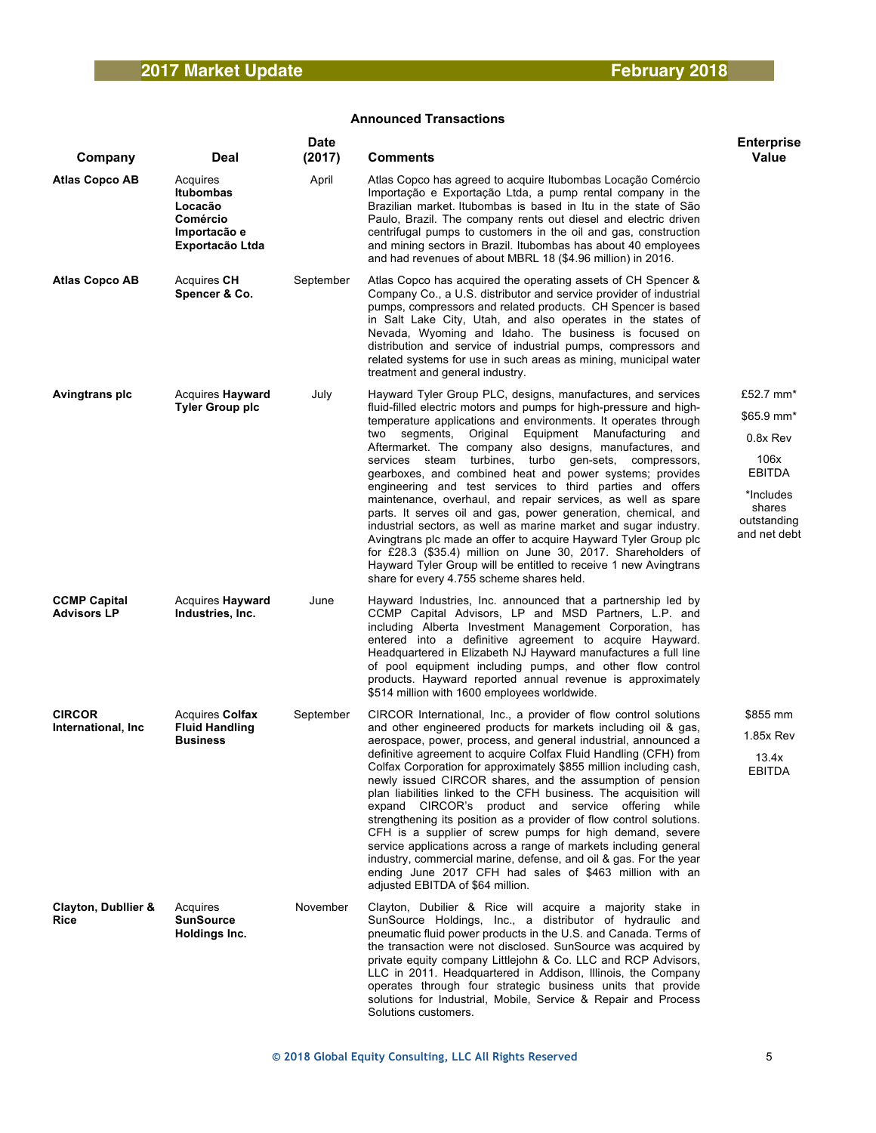| Company                                       | Deal                                                                                   | <b>Date</b><br>(2017) | Comments                                                                                                                                                                                                                                                                                                                                                                                                                                                                                                                                                                                                                                                                                                                                                                                                                                                                                                                                                                | <b>Enterprise</b><br><b>Value</b>                                                                           |
|-----------------------------------------------|----------------------------------------------------------------------------------------|-----------------------|-------------------------------------------------------------------------------------------------------------------------------------------------------------------------------------------------------------------------------------------------------------------------------------------------------------------------------------------------------------------------------------------------------------------------------------------------------------------------------------------------------------------------------------------------------------------------------------------------------------------------------------------------------------------------------------------------------------------------------------------------------------------------------------------------------------------------------------------------------------------------------------------------------------------------------------------------------------------------|-------------------------------------------------------------------------------------------------------------|
| <b>Atlas Copco AB</b>                         | Acquires<br><b>Itubombas</b><br>Locacão<br>Comércio<br>Importacão e<br>Exportacão Ltda | April                 | Atlas Copco has agreed to acquire Itubombas Locação Comércio<br>Importação e Exportação Ltda, a pump rental company in the<br>Brazilian market. Itubombas is based in Itu in the state of São<br>Paulo, Brazil. The company rents out diesel and electric driven<br>centrifugal pumps to customers in the oil and gas, construction<br>and mining sectors in Brazil. Itubombas has about 40 employees<br>and had revenues of about MBRL 18 (\$4.96 million) in 2016.                                                                                                                                                                                                                                                                                                                                                                                                                                                                                                    |                                                                                                             |
| <b>Atlas Copco AB</b>                         | Acquires CH<br>Spencer & Co.                                                           | September             | Atlas Copco has acquired the operating assets of CH Spencer &<br>Company Co., a U.S. distributor and service provider of industrial<br>pumps, compressors and related products. CH Spencer is based<br>in Salt Lake City, Utah, and also operates in the states of<br>Nevada, Wyoming and Idaho. The business is focused on<br>distribution and service of industrial pumps, compressors and<br>related systems for use in such areas as mining, municipal water<br>treatment and general industry.                                                                                                                                                                                                                                                                                                                                                                                                                                                                     |                                                                                                             |
| Avingtrans plc                                | <b>Acquires Hayward</b><br><b>Tyler Group plc</b>                                      | July                  | Hayward Tyler Group PLC, designs, manufactures, and services<br>fluid-filled electric motors and pumps for high-pressure and high-<br>temperature applications and environments. It operates through<br>Original Equipment Manufacturing<br>two segments,<br>and<br>Aftermarket. The company also designs, manufactures, and<br>services steam turbines, turbo gen-sets, compressors,<br>gearboxes, and combined heat and power systems; provides<br>engineering and test services to third parties and offers<br>maintenance, overhaul, and repair services, as well as spare<br>parts. It serves oil and gas, power generation, chemical, and<br>industrial sectors, as well as marine market and sugar industry.<br>Avingtrans plc made an offer to acquire Hayward Tyler Group plc<br>for £28.3 (\$35.4) million on June 30, 2017. Shareholders of<br>Hayward Tyler Group will be entitled to receive 1 new Avingtrans<br>share for every 4.755 scheme shares held. | £52.7 mm*<br>\$65.9 mm*<br>0.8x Rev<br>106x<br>EBITDA<br>*Includes<br>shares<br>outstanding<br>and net debt |
| <b>CCMP Capital</b><br><b>Advisors LP</b>     | Acquires <b>Hayward</b><br>Industries, Inc.                                            | June                  | Hayward Industries, Inc. announced that a partnership led by<br>CCMP Capital Advisors, LP and MSD Partners, L.P. and<br>including Alberta Investment Management Corporation, has<br>entered into a definitive agreement to acquire Hayward.<br>Headquartered in Elizabeth NJ Hayward manufactures a full line<br>of pool equipment including pumps, and other flow control<br>products. Hayward reported annual revenue is approximately<br>\$514 million with 1600 employees worldwide.                                                                                                                                                                                                                                                                                                                                                                                                                                                                                |                                                                                                             |
| <b>CIRCOR</b><br>International, Inc.          | Acquires Colfax<br><b>Fluid Handling</b><br><b>Business</b>                            | September             | CIRCOR International, Inc., a provider of flow control solutions<br>and other engineered products for markets including oil & gas,<br>aerospace, power, process, and general industrial, announced a<br>definitive agreement to acquire Colfax Fluid Handling (CFH) from<br>Colfax Corporation for approximately \$855 million including cash,<br>newly issued CIRCOR shares, and the assumption of pension<br>plan liabilities linked to the CFH business. The acquisition will<br>expand CIRCOR's product and service offering while<br>strengthening its position as a provider of flow control solutions.<br>CFH is a supplier of screw pumps for high demand, severe<br>service applications across a range of markets including general<br>industry, commercial marine, defense, and oil & gas. For the year<br>ending June 2017 CFH had sales of \$463 million with an<br>adjusted EBITDA of \$64 million.                                                       | \$855 mm<br>1.85x Rev<br>13.4x<br><b>EBITDA</b>                                                             |
| <b>Clayton, Dubilier &amp;</b><br><b>Rice</b> | Acquires<br><b>SunSource</b><br>Holdings Inc.                                          | November              | Clayton, Dubilier & Rice will acquire a majority stake in<br>SunSource Holdings, Inc., a distributor of hydraulic and<br>pneumatic fluid power products in the U.S. and Canada. Terms of<br>the transaction were not disclosed. SunSource was acquired by<br>private equity company Littlejohn & Co. LLC and RCP Advisors,<br>LLC in 2011. Headquartered in Addison, Illinois, the Company<br>operates through four strategic business units that provide<br>solutions for Industrial, Mobile, Service & Repair and Process<br>Solutions customers.                                                                                                                                                                                                                                                                                                                                                                                                                     |                                                                                                             |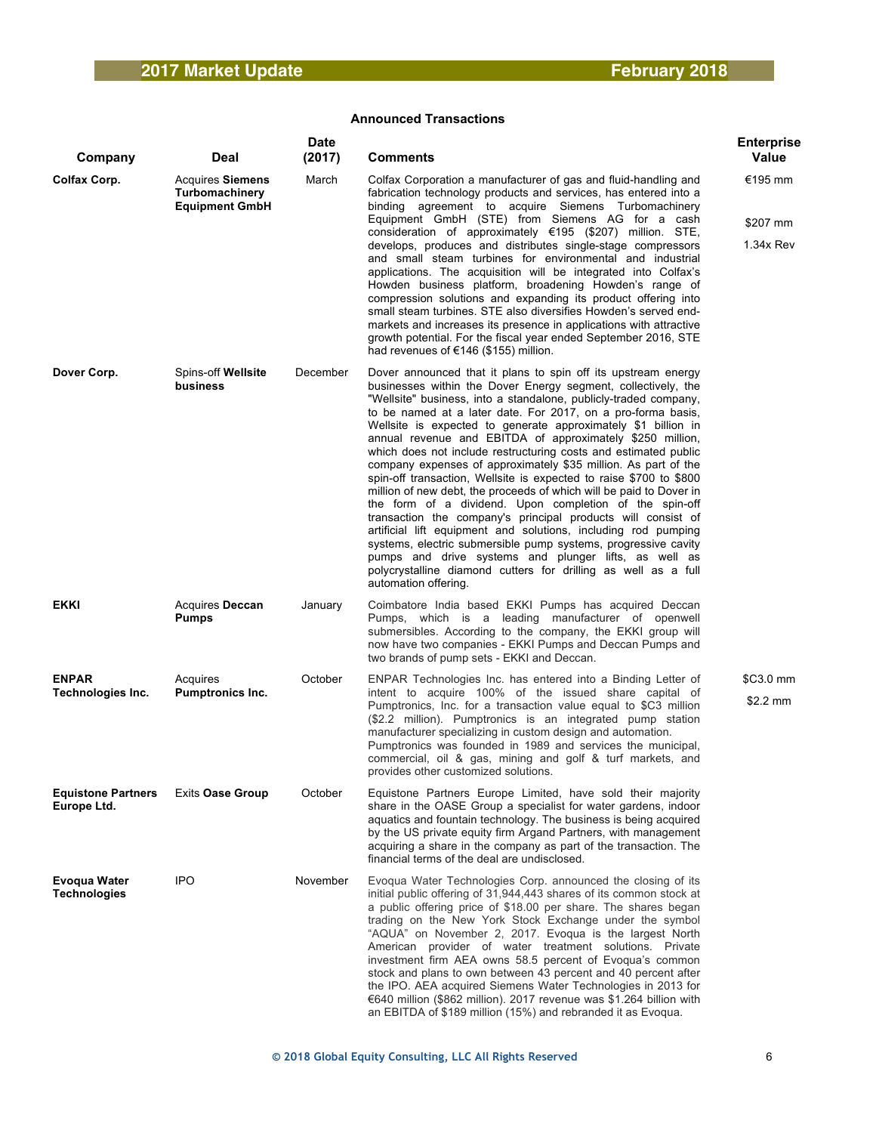| Company                                  | Deal                                                               | <b>Date</b><br>(2017) | Comments                                                                                                                                                                                                                                                                                                                                                                                                                                                                                                                                                                                                                                                                                                                                                                                                                                                                                                                                                                                                                                                                                             | <b>Enterprise</b><br>Value       |
|------------------------------------------|--------------------------------------------------------------------|-----------------------|------------------------------------------------------------------------------------------------------------------------------------------------------------------------------------------------------------------------------------------------------------------------------------------------------------------------------------------------------------------------------------------------------------------------------------------------------------------------------------------------------------------------------------------------------------------------------------------------------------------------------------------------------------------------------------------------------------------------------------------------------------------------------------------------------------------------------------------------------------------------------------------------------------------------------------------------------------------------------------------------------------------------------------------------------------------------------------------------------|----------------------------------|
| Colfax Corp.                             | <b>Acquires Siemens</b><br>Turbomachinery<br><b>Equipment GmbH</b> | March                 | Colfax Corporation a manufacturer of gas and fluid-handling and<br>fabrication technology products and services, has entered into a<br>binding agreement to acquire Siemens Turbomachinery<br>Equipment GmbH (STE) from Siemens AG for a cash<br>consideration of approximately €195 (\$207) million. STE,<br>develops, produces and distributes single-stage compressors<br>and small steam turbines for environmental and industrial<br>applications. The acquisition will be integrated into Colfax's<br>Howden business platform, broadening Howden's range of<br>compression solutions and expanding its product offering into<br>small steam turbines. STE also diversifies Howden's served end-<br>markets and increases its presence in applications with attractive<br>growth potential. For the fiscal year ended September 2016, STE<br>had revenues of €146 (\$155) million.                                                                                                                                                                                                             | €195 mm<br>\$207 mm<br>1.34x Rev |
| Dover Corp.                              | Spins-off Wellsite<br>business                                     | December              | Dover announced that it plans to spin off its upstream energy<br>businesses within the Dover Energy segment, collectively, the<br>"Wellsite" business, into a standalone, publicly-traded company,<br>to be named at a later date. For 2017, on a pro-forma basis,<br>Wellsite is expected to generate approximately \$1 billion in<br>annual revenue and EBITDA of approximately \$250 million,<br>which does not include restructuring costs and estimated public<br>company expenses of approximately \$35 million. As part of the<br>spin-off transaction, Wellsite is expected to raise \$700 to \$800<br>million of new debt, the proceeds of which will be paid to Dover in<br>the form of a dividend. Upon completion of the spin-off<br>transaction the company's principal products will consist of<br>artificial lift equipment and solutions, including rod pumping<br>systems, electric submersible pump systems, progressive cavity<br>pumps and drive systems and plunger lifts, as well as<br>polycrystalline diamond cutters for drilling as well as a full<br>automation offering. |                                  |
| <b>EKKI</b>                              | Acquires Deccan<br><b>Pumps</b>                                    | January               | Coimbatore India based EKKI Pumps has acquired Deccan<br>Pumps, which is a leading manufacturer of openwell<br>submersibles. According to the company, the EKKI group will<br>now have two companies - EKKI Pumps and Deccan Pumps and<br>two brands of pump sets - EKKI and Deccan.                                                                                                                                                                                                                                                                                                                                                                                                                                                                                                                                                                                                                                                                                                                                                                                                                 |                                  |
| <b>ENPAR</b><br>Technologies Inc.        | Acquires<br>Pumptronics Inc.                                       | October               | ENPAR Technologies Inc. has entered into a Binding Letter of<br>intent to acquire 100% of the issued share capital of<br>Pumptronics, Inc. for a transaction value equal to \$C3 million<br>(\$2.2 million). Pumptronics is an integrated pump station<br>manufacturer specializing in custom design and automation.<br>Pumptronics was founded in 1989 and services the municipal,<br>commercial, oil & gas, mining and golf & turf markets, and<br>provides other customized solutions.                                                                                                                                                                                                                                                                                                                                                                                                                                                                                                                                                                                                            | $$C3.0$ mm<br>\$2.2 mm           |
| <b>Equistone Partners</b><br>Europe Ltd. | <b>Exits Oase Group</b>                                            | October               | Equistone Partners Europe Limited, have sold their majority<br>share in the OASE Group a specialist for water gardens, indoor<br>aquatics and fountain technology. The business is being acquired<br>by the US private equity firm Argand Partners, with management<br>acquiring a share in the company as part of the transaction. The<br>financial terms of the deal are undisclosed.                                                                                                                                                                                                                                                                                                                                                                                                                                                                                                                                                                                                                                                                                                              |                                  |
| Evoqua Water<br><b>Technologies</b>      | <b>IPO</b>                                                         | November              | Evoqua Water Technologies Corp. announced the closing of its<br>initial public offering of 31,944,443 shares of its common stock at<br>a public offering price of \$18.00 per share. The shares began<br>trading on the New York Stock Exchange under the symbol<br>"AQUA" on November 2, 2017. Evoqua is the largest North<br>American provider of water treatment solutions. Private<br>investment firm AEA owns 58.5 percent of Evoqua's common<br>stock and plans to own between 43 percent and 40 percent after<br>the IPO. AEA acquired Siemens Water Technologies in 2013 for<br>€640 million (\$862 million). 2017 revenue was \$1.264 billion with<br>an EBITDA of \$189 million (15%) and rebranded it as Evoqua.                                                                                                                                                                                                                                                                                                                                                                          |                                  |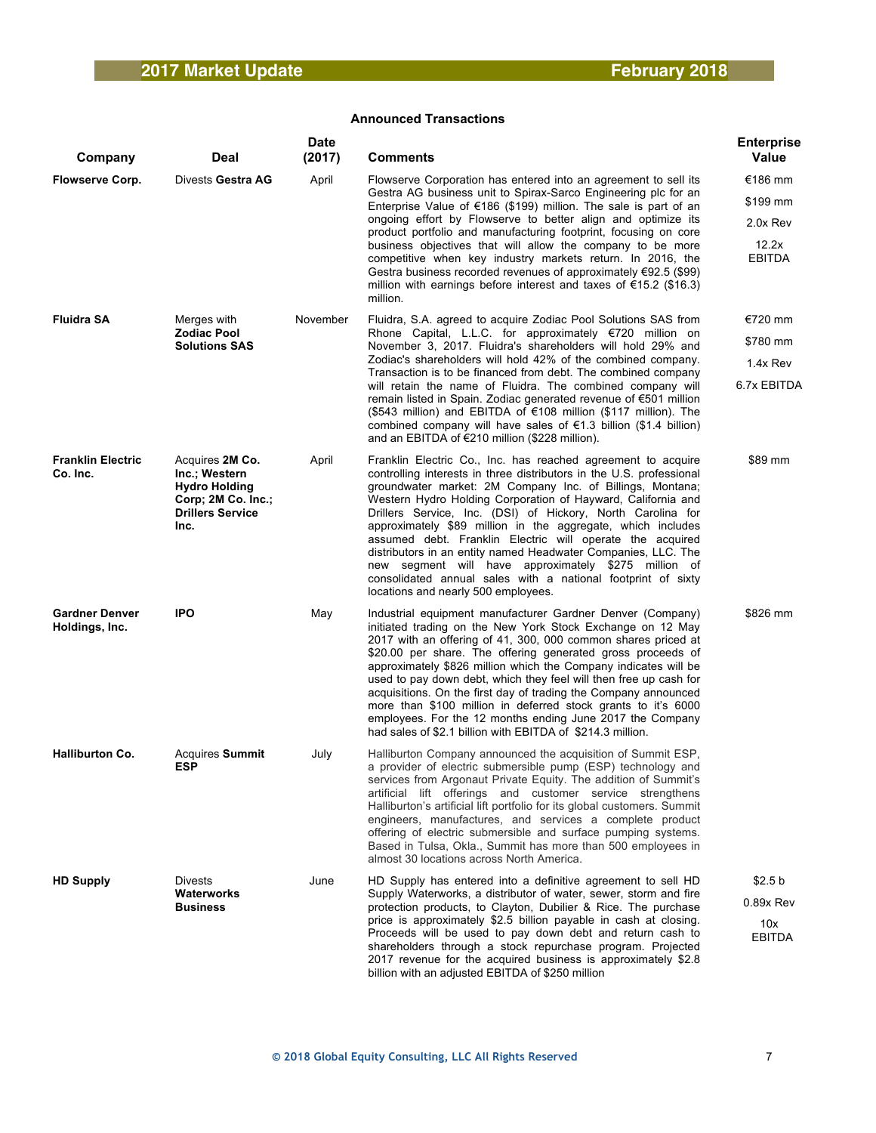| Company                                 | <b>Deal</b>                                                                                                       | <b>Date</b><br>(2017) | <b>Comments</b>                                                                                                                                                                                                                                                                                                                                                                                                                                                                                                                                                                                                                                                                              | <b>Enterprise</b><br>Value |
|-----------------------------------------|-------------------------------------------------------------------------------------------------------------------|-----------------------|----------------------------------------------------------------------------------------------------------------------------------------------------------------------------------------------------------------------------------------------------------------------------------------------------------------------------------------------------------------------------------------------------------------------------------------------------------------------------------------------------------------------------------------------------------------------------------------------------------------------------------------------------------------------------------------------|----------------------------|
| <b>Flowserve Corp.</b>                  | Divests Gestra AG                                                                                                 | April                 | Flowserve Corporation has entered into an agreement to sell its                                                                                                                                                                                                                                                                                                                                                                                                                                                                                                                                                                                                                              | €186 mm                    |
|                                         |                                                                                                                   |                       | Gestra AG business unit to Spirax-Sarco Engineering plc for an<br>Enterprise Value of $\epsilon$ 186 (\$199) million. The sale is part of an                                                                                                                                                                                                                                                                                                                                                                                                                                                                                                                                                 | \$199 mm                   |
|                                         |                                                                                                                   |                       | ongoing effort by Flowserve to better align and optimize its<br>product portfolio and manufacturing footprint, focusing on core                                                                                                                                                                                                                                                                                                                                                                                                                                                                                                                                                              | 2.0x Rev                   |
|                                         |                                                                                                                   |                       | business objectives that will allow the company to be more<br>competitive when key industry markets return. In 2016, the<br>Gestra business recorded revenues of approximately $€92.5$ (\$99)<br>million with earnings before interest and taxes of $\epsilon$ 15.2 (\$16.3)<br>million.                                                                                                                                                                                                                                                                                                                                                                                                     | 12.2x<br>EBITDA            |
| <b>Fluidra SA</b>                       | Merges with                                                                                                       | November              | Fluidra, S.A. agreed to acquire Zodiac Pool Solutions SAS from                                                                                                                                                                                                                                                                                                                                                                                                                                                                                                                                                                                                                               | €720 mm                    |
|                                         | <b>Zodiac Pool</b><br><b>Solutions SAS</b>                                                                        |                       | Rhone Capital, L.L.C. for approximately €720 million on<br>November 3, 2017. Fluidra's shareholders will hold 29% and                                                                                                                                                                                                                                                                                                                                                                                                                                                                                                                                                                        | \$780 mm                   |
|                                         |                                                                                                                   |                       | Zodiac's shareholders will hold 42% of the combined company.<br>Transaction is to be financed from debt. The combined company                                                                                                                                                                                                                                                                                                                                                                                                                                                                                                                                                                | 1.4x Rev                   |
|                                         |                                                                                                                   |                       | will retain the name of Fluidra. The combined company will<br>remain listed in Spain. Zodiac generated revenue of €501 million<br>$(\$543$ million) and EBITDA of $€108$ million (\$117 million). The<br>combined company will have sales of $\epsilon$ 1.3 billion (\$1.4 billion)<br>and an EBITDA of €210 million (\$228 million).                                                                                                                                                                                                                                                                                                                                                        | 6.7x EBITDA                |
| <b>Franklin Electric</b><br>Co. Inc.    | Acquires 2M Co.<br>Inc.; Western<br><b>Hydro Holding</b><br>Corp: 2M Co. Inc.:<br><b>Drillers Service</b><br>Inc. | April                 | Franklin Electric Co., Inc. has reached agreement to acquire<br>controlling interests in three distributors in the U.S. professional<br>groundwater market: 2M Company Inc. of Billings, Montana;<br>Western Hydro Holding Corporation of Hayward, California and<br>Drillers Service, Inc. (DSI) of Hickory, North Carolina for<br>approximately \$89 million in the aggregate, which includes<br>assumed debt. Franklin Electric will operate the acquired<br>distributors in an entity named Headwater Companies, LLC. The<br>new segment will have approximately \$275 million of<br>consolidated annual sales with a national footprint of sixty<br>locations and nearly 500 employees. | \$89 mm                    |
| <b>Gardner Denver</b><br>Holdings, Inc. | <b>IPO</b>                                                                                                        | May                   | Industrial equipment manufacturer Gardner Denver (Company)<br>initiated trading on the New York Stock Exchange on 12 May<br>2017 with an offering of 41, 300, 000 common shares priced at<br>\$20.00 per share. The offering generated gross proceeds of<br>approximately \$826 million which the Company indicates will be<br>used to pay down debt, which they feel will then free up cash for<br>acquisitions. On the first day of trading the Company announced<br>more than \$100 million in deferred stock grants to it's 6000<br>employees. For the 12 months ending June 2017 the Company<br>had sales of \$2.1 billion with EBITDA of \$214.3 million.                              | \$826 mm                   |
| <b>Halliburton Co.</b>                  | <b>Acquires Summit</b><br><b>ESP</b>                                                                              | July                  | Halliburton Company announced the acquisition of Summit ESP,<br>a provider of electric submersible pump (ESP) technology and<br>services from Argonaut Private Equity. The addition of Summit's<br>artificial lift offerings and customer service strengthens<br>Halliburton's artificial lift portfolio for its global customers. Summit<br>engineers, manufactures, and services a complete product<br>offering of electric submersible and surface pumping systems.<br>Based in Tulsa, Okla., Summit has more than 500 employees in<br>almost 30 locations across North America.                                                                                                          |                            |
| <b>HD Supply</b>                        | <b>Divests</b><br>Waterworks                                                                                      | June                  | HD Supply has entered into a definitive agreement to sell HD<br>Supply Waterworks, a distributor of water, sewer, storm and fire                                                                                                                                                                                                                                                                                                                                                                                                                                                                                                                                                             | \$2.5 b                    |
|                                         | <b>Business</b>                                                                                                   |                       | protection products, to Clayton, Dubilier & Rice. The purchase                                                                                                                                                                                                                                                                                                                                                                                                                                                                                                                                                                                                                               | 0.89x Rev                  |
|                                         |                                                                                                                   |                       | price is approximately \$2.5 billion payable in cash at closing.<br>Proceeds will be used to pay down debt and return cash to<br>shareholders through a stock repurchase program. Projected<br>2017 revenue for the acquired business is approximately \$2.8<br>billion with an adjusted EBITDA of \$250 million                                                                                                                                                                                                                                                                                                                                                                             | 10x<br><b>EBITDA</b>       |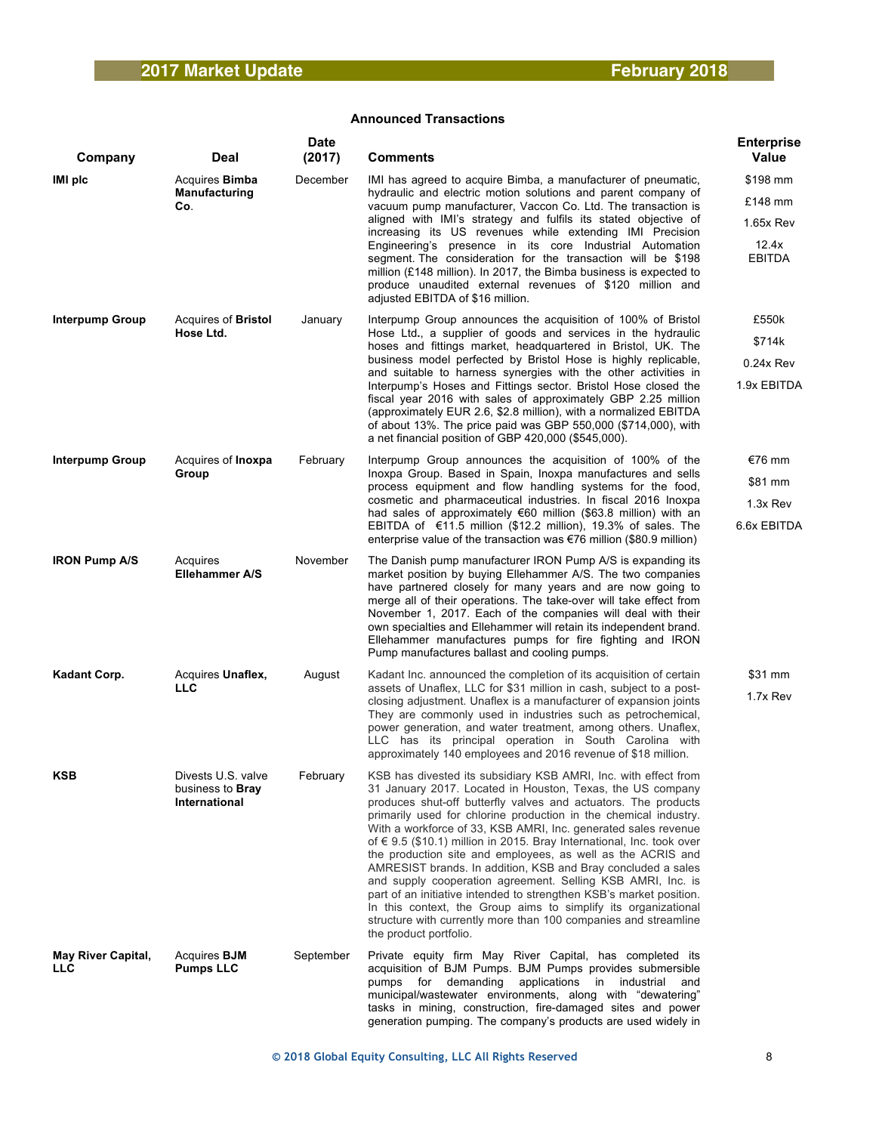| Company                                 | Deal                                                    | <b>Date</b><br>(2017) | <b>Comments</b>                                                                                                                                                                                                                                                                                                                                                                                                                                                                                                                                                                                                                                                                                                                                                                                                                                             | <b>Enterprise</b><br><b>Value</b> |
|-----------------------------------------|---------------------------------------------------------|-----------------------|-------------------------------------------------------------------------------------------------------------------------------------------------------------------------------------------------------------------------------------------------------------------------------------------------------------------------------------------------------------------------------------------------------------------------------------------------------------------------------------------------------------------------------------------------------------------------------------------------------------------------------------------------------------------------------------------------------------------------------------------------------------------------------------------------------------------------------------------------------------|-----------------------------------|
| IMI plc                                 | Acquires <b>Bimba</b><br>Manufacturing                  | December              | IMI has agreed to acquire Bimba, a manufacturer of pneumatic,<br>hydraulic and electric motion solutions and parent company of                                                                                                                                                                                                                                                                                                                                                                                                                                                                                                                                                                                                                                                                                                                              | \$198 mm                          |
|                                         | Co.                                                     |                       | vacuum pump manufacturer, Vaccon Co. Ltd. The transaction is                                                                                                                                                                                                                                                                                                                                                                                                                                                                                                                                                                                                                                                                                                                                                                                                | £148 mm                           |
|                                         |                                                         |                       | aligned with IMI's strategy and fulfils its stated objective of<br>increasing its US revenues while extending IMI Precision                                                                                                                                                                                                                                                                                                                                                                                                                                                                                                                                                                                                                                                                                                                                 | 1.65x Rev                         |
|                                         |                                                         |                       | Engineering's presence in its core Industrial Automation<br>segment. The consideration for the transaction will be \$198<br>million (£148 million). In 2017, the Bimba business is expected to<br>produce unaudited external revenues of \$120 million and<br>adjusted EBITDA of \$16 million.                                                                                                                                                                                                                                                                                                                                                                                                                                                                                                                                                              | 12.4x<br>EBITDA                   |
| <b>Interpump Group</b>                  | Acquires of <b>Bristol</b><br>Hose Ltd.                 | January               | Interpump Group announces the acquisition of 100% of Bristol<br>Hose Ltd., a supplier of goods and services in the hydraulic                                                                                                                                                                                                                                                                                                                                                                                                                                                                                                                                                                                                                                                                                                                                | £550k                             |
|                                         |                                                         |                       | hoses and fittings market, headquartered in Bristol, UK. The                                                                                                                                                                                                                                                                                                                                                                                                                                                                                                                                                                                                                                                                                                                                                                                                | \$714k                            |
|                                         |                                                         |                       | business model perfected by Bristol Hose is highly replicable,<br>and suitable to harness synergies with the other activities in                                                                                                                                                                                                                                                                                                                                                                                                                                                                                                                                                                                                                                                                                                                            | $0.24x$ Rev                       |
|                                         |                                                         |                       | Interpump's Hoses and Fittings sector. Bristol Hose closed the<br>fiscal year 2016 with sales of approximately GBP 2.25 million<br>(approximately EUR 2.6, \$2.8 million), with a normalized EBITDA<br>of about 13%. The price paid was GBP 550,000 (\$714,000), with<br>a net financial position of GBP 420,000 (\$545,000).                                                                                                                                                                                                                                                                                                                                                                                                                                                                                                                               | 1.9x EBITDA                       |
| Interpump Group                         | Acquires of <b>Inoxpa</b><br>Group                      | February              | Interpump Group announces the acquisition of 100% of the<br>Inoxpa Group. Based in Spain, Inoxpa manufactures and sells                                                                                                                                                                                                                                                                                                                                                                                                                                                                                                                                                                                                                                                                                                                                     | €76 mm                            |
|                                         |                                                         |                       | process equipment and flow handling systems for the food.                                                                                                                                                                                                                                                                                                                                                                                                                                                                                                                                                                                                                                                                                                                                                                                                   | \$81 mm                           |
|                                         |                                                         |                       | cosmetic and pharmaceutical industries. In fiscal 2016 Inoxpa<br>had sales of approximately €60 million (\$63.8 million) with an                                                                                                                                                                                                                                                                                                                                                                                                                                                                                                                                                                                                                                                                                                                            | 1.3x Rev                          |
|                                         |                                                         |                       | EBITDA of $\epsilon$ 11.5 million (\$12.2 million), 19.3% of sales. The<br>enterprise value of the transaction was €76 million (\$80.9 million)                                                                                                                                                                                                                                                                                                                                                                                                                                                                                                                                                                                                                                                                                                             | 6.6x EBITDA                       |
| <b>IRON Pump A/S</b>                    | Acquires<br>Ellehammer A/S                              | November              | The Danish pump manufacturer IRON Pump A/S is expanding its<br>market position by buying Ellehammer A/S. The two companies<br>have partnered closely for many years and are now going to<br>merge all of their operations. The take-over will take effect from<br>November 1, 2017. Each of the companies will deal with their<br>own specialties and Ellehammer will retain its independent brand.<br>Ellehammer manufactures pumps for fire fighting and IRON<br>Pump manufactures ballast and cooling pumps.                                                                                                                                                                                                                                                                                                                                             |                                   |
| Kadant Corp.                            | Acquires Unaflex,                                       | August                | Kadant Inc. announced the completion of its acquisition of certain                                                                                                                                                                                                                                                                                                                                                                                                                                                                                                                                                                                                                                                                                                                                                                                          | \$31 mm                           |
|                                         | <b>LLC</b>                                              |                       | assets of Unaflex, LLC for \$31 million in cash, subject to a post-<br>closing adjustment. Unaflex is a manufacturer of expansion joints<br>They are commonly used in industries such as petrochemical,<br>power generation, and water treatment, among others. Unaflex,<br>LLC has its principal operation in South Carolina with<br>approximately 140 employees and 2016 revenue of \$18 million.                                                                                                                                                                                                                                                                                                                                                                                                                                                         | 1.7x Rev                          |
| KSB                                     | Divests U.S. valve<br>business to Bray<br>International | February              | KSB has divested its subsidiary KSB AMRI, Inc. with effect from<br>31 January 2017. Located in Houston, Texas, the US company<br>produces shut-off butterfly valves and actuators. The products<br>primarily used for chlorine production in the chemical industry.<br>With a workforce of 33, KSB AMRI, Inc. generated sales revenue<br>of $\epsilon$ 9.5 (\$10.1) million in 2015. Bray International, Inc. took over<br>the production site and employees, as well as the ACRIS and<br>AMRESIST brands. In addition, KSB and Bray concluded a sales<br>and supply cooperation agreement. Selling KSB AMRI, Inc. is<br>part of an initiative intended to strengthen KSB's market position.<br>In this context, the Group aims to simplify its organizational<br>structure with currently more than 100 companies and streamline<br>the product portfolio. |                                   |
| <b>May River Capital,</b><br><b>LLC</b> | Acquires <b>BJM</b><br><b>Pumps LLC</b>                 | September             | Private equity firm May River Capital, has completed its<br>acquisition of BJM Pumps. BJM Pumps provides submersible<br>pumps for demanding applications in industrial and<br>municipal/wastewater environments, along with "dewatering"<br>tasks in mining, construction, fire-damaged sites and power<br>generation pumping. The company's products are used widely in                                                                                                                                                                                                                                                                                                                                                                                                                                                                                    |                                   |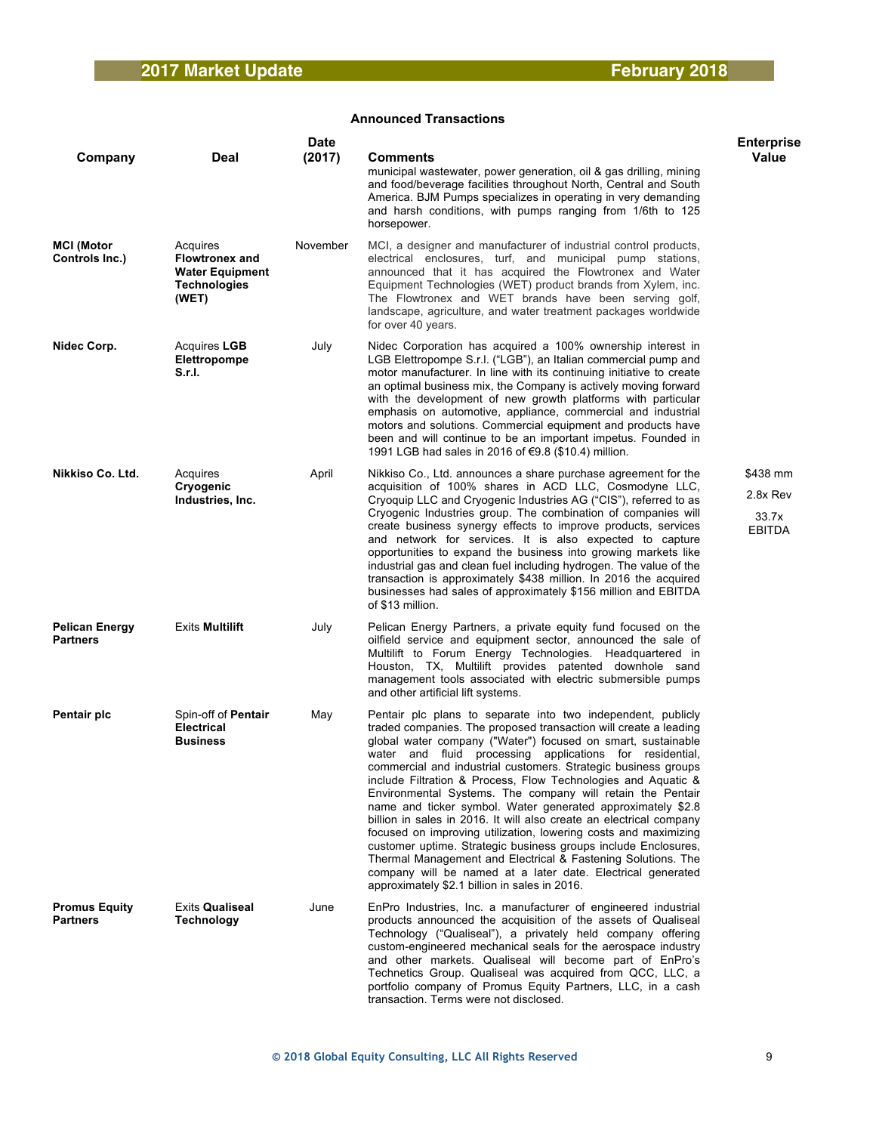| Company                                  | Deal                                                                                        | <b>Date</b><br>(2017) | <b>Comments</b>                                                                                                                                                                                                                                                                                                                                                                                                                                                                                                                                                                                                                                                                                                                                                                                                                                                                                                          | <b>Enterprise</b><br><b>Value</b>              |
|------------------------------------------|---------------------------------------------------------------------------------------------|-----------------------|--------------------------------------------------------------------------------------------------------------------------------------------------------------------------------------------------------------------------------------------------------------------------------------------------------------------------------------------------------------------------------------------------------------------------------------------------------------------------------------------------------------------------------------------------------------------------------------------------------------------------------------------------------------------------------------------------------------------------------------------------------------------------------------------------------------------------------------------------------------------------------------------------------------------------|------------------------------------------------|
|                                          |                                                                                             |                       | municipal wastewater, power generation, oil & gas drilling, mining<br>and food/beverage facilities throughout North, Central and South<br>America. BJM Pumps specializes in operating in very demanding<br>and harsh conditions, with pumps ranging from 1/6th to 125<br>horsepower.                                                                                                                                                                                                                                                                                                                                                                                                                                                                                                                                                                                                                                     |                                                |
| <b>MCI (Motor</b><br>Controls Inc.)      | Acquires<br><b>Flowtronex and</b><br><b>Water Equipment</b><br><b>Technologies</b><br>(WET) | November              | MCI, a designer and manufacturer of industrial control products,<br>electrical enclosures, turf, and municipal pump stations,<br>announced that it has acquired the Flowtronex and Water<br>Equipment Technologies (WET) product brands from Xylem, inc.<br>The Flowtronex and WET brands have been serving golf,<br>landscape, agriculture, and water treatment packages worldwide<br>for over 40 years.                                                                                                                                                                                                                                                                                                                                                                                                                                                                                                                |                                                |
| Nidec Corp.                              | Acquires LGB<br>Elettropompe<br>S.r.I.                                                      | July                  | Nidec Corporation has acquired a 100% ownership interest in<br>LGB Elettropompe S.r.l. ("LGB"), an Italian commercial pump and<br>motor manufacturer. In line with its continuing initiative to create<br>an optimal business mix, the Company is actively moving forward<br>with the development of new growth platforms with particular<br>emphasis on automotive, appliance, commercial and industrial<br>motors and solutions. Commercial equipment and products have<br>been and will continue to be an important impetus. Founded in<br>1991 LGB had sales in 2016 of €9.8 (\$10.4) million.                                                                                                                                                                                                                                                                                                                       |                                                |
| Nikkiso Co. Ltd.                         | Acquires<br>Cryogenic<br>Industries, Inc.                                                   | April                 | Nikkiso Co., Ltd. announces a share purchase agreement for the<br>acquisition of 100% shares in ACD LLC, Cosmodyne LLC,<br>Cryoquip LLC and Cryogenic Industries AG ("CIS"), referred to as<br>Cryogenic Industries group. The combination of companies will<br>create business synergy effects to improve products, services<br>and network for services. It is also expected to capture<br>opportunities to expand the business into growing markets like<br>industrial gas and clean fuel including hydrogen. The value of the<br>transaction is approximately \$438 million. In 2016 the acquired<br>businesses had sales of approximately \$156 million and EBITDA<br>of \$13 million.                                                                                                                                                                                                                              | \$438 mm<br>2.8x Rev<br>33.7x<br><b>EBITDA</b> |
| <b>Pelican Energy</b><br><b>Partners</b> | <b>Exits Multilift</b>                                                                      | July                  | Pelican Energy Partners, a private equity fund focused on the<br>oilfield service and equipment sector, announced the sale of<br>Multilift to Forum Energy Technologies. Headquartered in<br>Houston, TX, Multilift provides patented downhole sand<br>management tools associated with electric submersible pumps<br>and other artificial lift systems.                                                                                                                                                                                                                                                                                                                                                                                                                                                                                                                                                                 |                                                |
| Pentair plc                              | Spin-off of Pentair<br><b>Electrical</b><br><b>Business</b>                                 | May                   | Pentair plc plans to separate into two independent, publicly<br>traded companies. The proposed transaction will create a leading<br>global water company ("Water") focused on smart, sustainable<br>water and fluid processing applications for residential,<br>commercial and industrial customers. Strategic business groups<br>include Filtration & Process, Flow Technologies and Aquatic &<br>Environmental Systems. The company will retain the Pentair<br>name and ticker symbol. Water generated approximately \$2.8<br>billion in sales in 2016. It will also create an electrical company<br>focused on improving utilization, lowering costs and maximizing<br>customer uptime. Strategic business groups include Enclosures,<br>Thermal Management and Electrical & Fastening Solutions. The<br>company will be named at a later date. Electrical generated<br>approximately \$2.1 billion in sales in 2016. |                                                |
| <b>Promus Equity</b><br>Partners         | <b>Exits Qualiseal</b><br><b>Technology</b>                                                 | June                  | EnPro Industries, Inc. a manufacturer of engineered industrial<br>products announced the acquisition of the assets of Qualiseal<br>Technology ("Qualiseal"), a privately held company offering<br>custom-engineered mechanical seals for the aerospace industry<br>and other markets. Qualiseal will become part of EnPro's<br>Technetics Group. Qualiseal was acquired from QCC, LLC, a<br>portfolio company of Promus Equity Partners, LLC, in a cash<br>transaction. Terms were not disclosed.                                                                                                                                                                                                                                                                                                                                                                                                                        |                                                |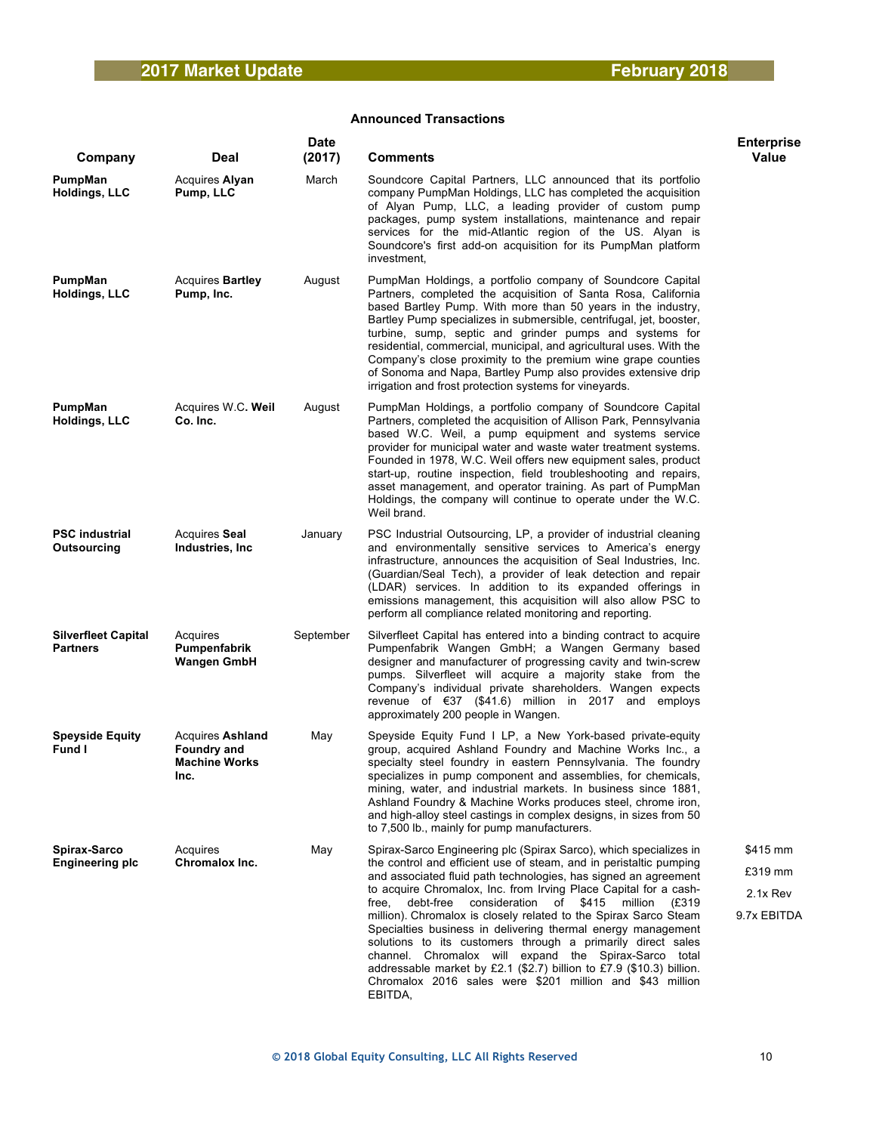| Company                                       | Deal                                                                          | <b>Date</b><br>(2017) | <b>Comments</b>                                                                                                                                                                                                                                                                                                                                                                                                                                                                                                                                                                                                                                                                                                                                               | <b>Enterprise</b><br><b>Value</b>              |
|-----------------------------------------------|-------------------------------------------------------------------------------|-----------------------|---------------------------------------------------------------------------------------------------------------------------------------------------------------------------------------------------------------------------------------------------------------------------------------------------------------------------------------------------------------------------------------------------------------------------------------------------------------------------------------------------------------------------------------------------------------------------------------------------------------------------------------------------------------------------------------------------------------------------------------------------------------|------------------------------------------------|
| PumpMan<br>Holdings, LLC                      | Acquires Alyan<br>Pump, LLC                                                   | March                 | Soundcore Capital Partners, LLC announced that its portfolio<br>company PumpMan Holdings, LLC has completed the acquisition<br>of Alyan Pump, LLC, a leading provider of custom pump<br>packages, pump system installations, maintenance and repair<br>services for the mid-Atlantic region of the US. Alyan is<br>Soundcore's first add-on acquisition for its PumpMan platform<br>investment,                                                                                                                                                                                                                                                                                                                                                               |                                                |
| PumpMan<br><b>Holdings, LLC</b>               | <b>Acquires Bartley</b><br>Pump, Inc.                                         | August                | PumpMan Holdings, a portfolio company of Soundcore Capital<br>Partners, completed the acquisition of Santa Rosa, California<br>based Bartley Pump. With more than 50 years in the industry,<br>Bartley Pump specializes in submersible, centrifugal, jet, booster,<br>turbine, sump, septic and grinder pumps and systems for<br>residential, commercial, municipal, and agricultural uses. With the<br>Company's close proximity to the premium wine grape counties<br>of Sonoma and Napa, Bartley Pump also provides extensive drip<br>irrigation and frost protection systems for vineyards.                                                                                                                                                               |                                                |
| PumpMan<br>Holdings, LLC                      | Acquires W.C. Weil<br>Co. Inc.                                                | August                | PumpMan Holdings, a portfolio company of Soundcore Capital<br>Partners, completed the acquisition of Allison Park, Pennsylvania<br>based W.C. Weil, a pump equipment and systems service<br>provider for municipal water and waste water treatment systems.<br>Founded in 1978, W.C. Weil offers new equipment sales, product<br>start-up, routine inspection, field troubleshooting and repairs,<br>asset management, and operator training. As part of PumpMan<br>Holdings, the company will continue to operate under the W.C.<br>Weil brand.                                                                                                                                                                                                              |                                                |
| <b>PSC industrial</b><br><b>Outsourcing</b>   | Acquires Seal<br>Industries, Inc.                                             | January               | PSC Industrial Outsourcing, LP, a provider of industrial cleaning<br>and environmentally sensitive services to America's energy<br>infrastructure, announces the acquisition of Seal Industries, Inc.<br>(Guardian/Seal Tech), a provider of leak detection and repair<br>(LDAR) services. In addition to its expanded offerings in<br>emissions management, this acquisition will also allow PSC to<br>perform all compliance related monitoring and reporting.                                                                                                                                                                                                                                                                                              |                                                |
| <b>Silverfleet Capital</b><br><b>Partners</b> | Acquires<br>Pumpenfabrik<br>Wangen GmbH                                       | September             | Silverfleet Capital has entered into a binding contract to acquire<br>Pumpenfabrik Wangen GmbH; a Wangen Germany based<br>designer and manufacturer of progressing cavity and twin-screw<br>pumps. Silverfleet will acquire a majority stake from the<br>Company's individual private shareholders. Wangen expects<br>revenue of $\epsilon$ 37 (\$41.6) million in 2017 and employs<br>approximately 200 people in Wangen.                                                                                                                                                                                                                                                                                                                                    |                                                |
| <b>Speyside Equity</b><br><b>Fund I</b>       | <b>Acquires Ashland</b><br><b>Foundry and</b><br><b>Machine Works</b><br>Inc. | May                   | Speyside Equity Fund I LP, a New York-based private-equity<br>group, acquired Ashland Foundry and Machine Works Inc., a<br>specialty steel foundry in eastern Pennsylvania. The foundry<br>specializes in pump component and assemblies, for chemicals,<br>mining, water, and industrial markets. In business since 1881,<br>Ashland Foundry & Machine Works produces steel, chrome iron,<br>and high-alloy steel castings in complex designs, in sizes from 50<br>to 7,500 lb., mainly for pump manufacturers.                                                                                                                                                                                                                                               |                                                |
| Spirax-Sarco<br><b>Engineering plc</b>        | Acquires<br>Chromalox Inc.                                                    | May                   | Spirax-Sarco Engineering plc (Spirax Sarco), which specializes in<br>the control and efficient use of steam, and in peristaltic pumping<br>and associated fluid path technologies, has signed an agreement<br>to acquire Chromalox, Inc. from Irving Place Capital for a cash-<br>consideration<br>of \$415 million<br>free,<br>debt-free<br>(£319<br>million). Chromalox is closely related to the Spirax Sarco Steam<br>Specialties business in delivering thermal energy management<br>solutions to its customers through a primarily direct sales<br>channel. Chromalox will expand the Spirax-Sarco total<br>addressable market by £2.1 (\$2.7) billion to £7.9 (\$10.3) billion.<br>Chromalox 2016 sales were \$201 million and \$43 million<br>EBITDA, | \$415 mm<br>£319 mm<br>2.1x Rev<br>9.7x EBITDA |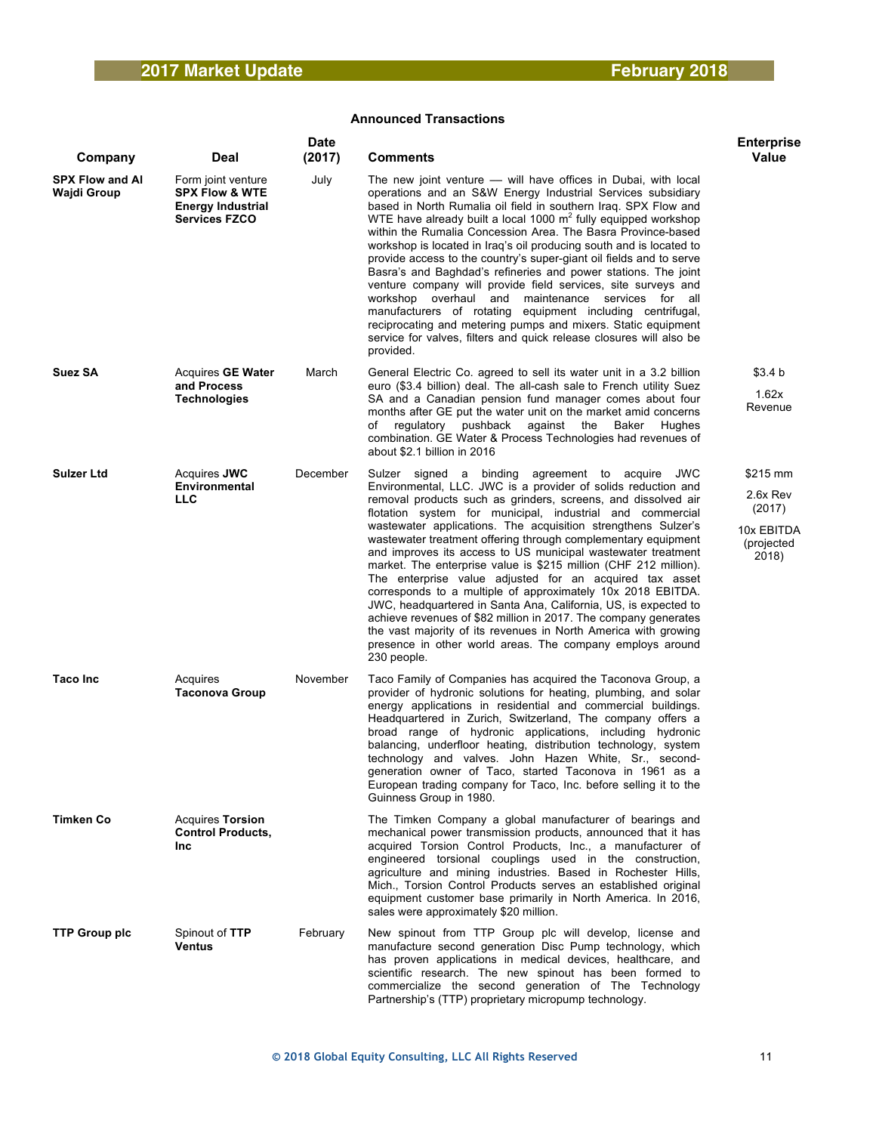| Company                               | Deal                                                                                                | <b>Date</b><br>(2017) | <b>Comments</b>                                                                                                                                                                                                                                                                                                                                                                                                                                                                                                                                                                                                                                                                                                                                                                                                                                                                                                                      | <b>Enterprise</b><br>Value                                          |
|---------------------------------------|-----------------------------------------------------------------------------------------------------|-----------------------|--------------------------------------------------------------------------------------------------------------------------------------------------------------------------------------------------------------------------------------------------------------------------------------------------------------------------------------------------------------------------------------------------------------------------------------------------------------------------------------------------------------------------------------------------------------------------------------------------------------------------------------------------------------------------------------------------------------------------------------------------------------------------------------------------------------------------------------------------------------------------------------------------------------------------------------|---------------------------------------------------------------------|
| <b>SPX Flow and AI</b><br>Wajdi Group | Form joint venture<br><b>SPX Flow &amp; WTE</b><br><b>Energy Industrial</b><br><b>Services FZCO</b> | July                  | The new joint venture - will have offices in Dubai, with local<br>operations and an S&W Energy Industrial Services subsidiary<br>based in North Rumalia oil field in southern Iraq. SPX Flow and<br>WTE have already built a local 1000 $m2$ fully equipped workshop<br>within the Rumalia Concession Area. The Basra Province-based<br>workshop is located in Iraq's oil producing south and is located to<br>provide access to the country's super-giant oil fields and to serve<br>Basra's and Baghdad's refineries and power stations. The joint<br>venture company will provide field services, site surveys and<br>workshop overhaul and maintenance services for all<br>manufacturers of rotating equipment including centrifugal,<br>reciprocating and metering pumps and mixers. Static equipment<br>service for valves, filters and quick release closures will also be<br>provided.                                       |                                                                     |
| Suez SA                               | Acquires <b>GE Water</b><br>and Process<br><b>Technologies</b>                                      | March                 | General Electric Co. agreed to sell its water unit in a 3.2 billion<br>euro (\$3.4 billion) deal. The all-cash sale to French utility Suez<br>SA and a Canadian pension fund manager comes about four<br>months after GE put the water unit on the market amid concerns<br>regulatory pushback<br>against the Baker<br>Hughes<br>οf<br>combination. GE Water & Process Technologies had revenues of<br>about \$2.1 billion in 2016                                                                                                                                                                                                                                                                                                                                                                                                                                                                                                   | \$3.4 b<br>1.62x<br>Revenue                                         |
| <b>Sulzer Ltd</b>                     | Acquires <b>JWC</b><br>Environmental<br><b>LLC</b>                                                  | December              | Sulzer signed a binding agreement to acquire JWC<br>Environmental, LLC. JWC is a provider of solids reduction and<br>removal products such as grinders, screens, and dissolved air<br>flotation system for municipal, industrial and commercial<br>wastewater applications. The acquisition strengthens Sulzer's<br>wastewater treatment offering through complementary equipment<br>and improves its access to US municipal wastewater treatment<br>market. The enterprise value is \$215 million (CHF 212 million).<br>The enterprise value adjusted for an acquired tax asset<br>corresponds to a multiple of approximately 10x 2018 EBITDA.<br>JWC, headquartered in Santa Ana, California, US, is expected to<br>achieve revenues of \$82 million in 2017. The company generates<br>the vast majority of its revenues in North America with growing<br>presence in other world areas. The company employs around<br>230 people. | \$215 mm<br>2.6x Rev<br>(2017)<br>10x EBITDA<br>(projected<br>2018) |
| <b>Taco Inc</b>                       | Acquires<br><b>Taconova Group</b>                                                                   | November              | Taco Family of Companies has acquired the Taconova Group, a<br>provider of hydronic solutions for heating, plumbing, and solar<br>energy applications in residential and commercial buildings.<br>Headquartered in Zurich, Switzerland, The company offers a<br>broad range of hydronic applications, including hydronic<br>balancing, underfloor heating, distribution technology, system<br>technology and valves. John Hazen White, Sr., second-<br>generation owner of Taco, started Taconova in 1961 as a<br>European trading company for Taco, Inc. before selling it to the<br>Guinness Group in 1980.                                                                                                                                                                                                                                                                                                                        |                                                                     |
| <b>Timken Co</b>                      | <b>Acquires Torsion</b><br><b>Control Products,</b><br><b>Inc</b>                                   |                       | The Timken Company a global manufacturer of bearings and<br>mechanical power transmission products, announced that it has<br>acquired Torsion Control Products, Inc., a manufacturer of<br>engineered torsional couplings used in the construction,<br>agriculture and mining industries. Based in Rochester Hills,<br>Mich., Torsion Control Products serves an established original<br>equipment customer base primarily in North America. In 2016,<br>sales were approximately \$20 million.                                                                                                                                                                                                                                                                                                                                                                                                                                      |                                                                     |
| <b>TTP Group plc</b>                  | Spinout of TTP<br><b>Ventus</b>                                                                     | February              | New spinout from TTP Group plc will develop, license and<br>manufacture second generation Disc Pump technology, which<br>has proven applications in medical devices, healthcare, and<br>scientific research. The new spinout has been formed to<br>commercialize the second generation of The Technology<br>Partnership's (TTP) proprietary micropump technology.                                                                                                                                                                                                                                                                                                                                                                                                                                                                                                                                                                    |                                                                     |